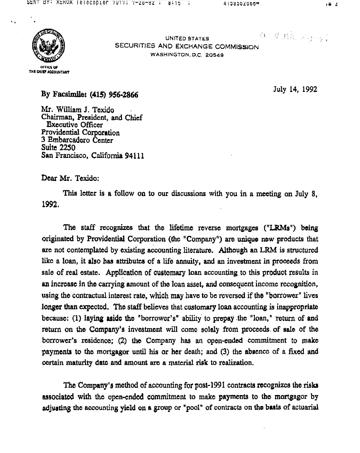OEN DI AENVA (GIGCOPIGN 7UI7) 7-20-92 , 8115 )

 $4159502500$ 



 $\mathbf{F}$ 

OFFICE OF THE CHIEF ACCOUNTANT

#### UNITED STATES SECURITIES AND EXCHANGE COMMISSION WASHINGTON, D.C. 20549

By Facsimile: (415) 956-2866

Mr. William J. Texido Chairman, President, and Chief **Executive Officer** Providential Corporation 3 Embarcadero Center **Suite 2250** San Francisco, California 94111 July 14, 1992

1冊 乙

Dear Mr. Texido:

This letter is a follow on to our discussions with you in a meeting on July 8, 1992.

The staff recognizes that the lifetime reverse mortgages ("LRMs") being originated by Providential Corporation (the "Company") are unique new products that are not contemplated by existing accounting literature. Although an LRM is structured like a loan, it also has attributes of a life annuity, and an investment in proceeds from sale of real estate. Application of customary loan accounting to this product results in an increase in the carrying amount of the loan asset, and consequent income recognition, using the contractual interest rate, which may have to be reversed if the "borrower" lives longer than expected. The staff believes that customary loan accounting is inappropriate because: (1) laying aside the "borrower's" ability to prepay the "loan," return of and return on the Company's investment will come solely from proceeds of sale of the borrower's residence; (2) the Company has an open-ended commitment to make payments to the mortgagor until his or her death; and (3) the absence of a fixed and certain maturity date and amount are a material risk to realization.

# The Company's method of accounting for post-1991 contracts recognizes the risks associated with the open-ended commitment to make payments to the mortgagor by adjusting the accounting yield on a group or "pool" of contracts on the basis of actuarial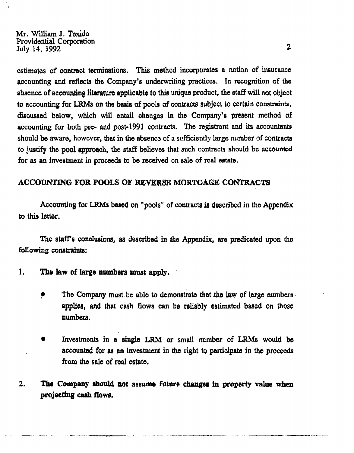## Mr. William J. Texido Providential Corporation July 14, 1992

2

estimates of contract terminations. This method incorporates a notion of insurance accounting and reflects the Company's underwriting practices. In recognition of the absence of accounting literature applicable to this unique product, the staff will not object to accounting for LRMs on the basis of pools of contracts subject to certain constraints, discussed below, which will entail changes in the Company's present method of accounting for both pre- and post-1991 contracts. The registrant and its accountants should be aware, however, that in the absence of a sufficiently large number of contracts to justify the pool approach, the staff believes that such contracts should be accounted for as an investment in proceeds to be received on sale of real estate.

# ACCOUNTING FOR POOLS OF REVERSE MORTGAGE CONTRACTS

Accounting for LRMs based on "pools" of contracts is described in the Appendix to this letter.

The staff's conclusions, as described in the Appendix, are predicated upon the following constraints:

 $\bullet$ 

- The law of large numbers must apply. 1.
	- The Company must be able to demonstrate that the law of large numbers. Ŷ. applies, and that cash flows can be reliably estimated based on those numbers.
	- Investments in a single LRM or small number of LRMs would be  $\bullet$ accounted for as an investment in the right to participate in the proceeds from the sale of real estate.

#### The Company should not assume future changes in property value when  $\mathbf{2}$ . projecting cash flows.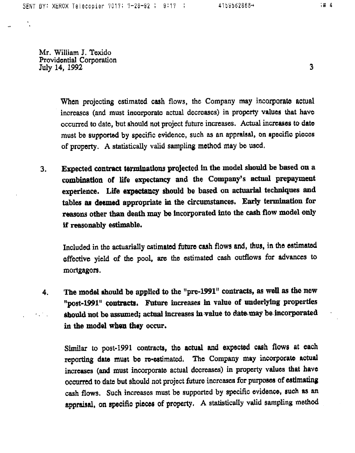4159562866+

;# 4

3

Mr. William J. Texido Providential Corporation July 14, 1992

> When projecting estimated cash flows, the Company may incorporate actual increases (and must incorporate actual decreases) in property values that have occurred to date, but should not project future increases. Actual increases to date must be supported by specific evidence, such as an appraisal, on specific pieces of property. A statistically valid sampling method may be used.

Expected contract terminations projected in the model should be based on a  $3.$ combination of life expectancy and the Company's actual prepayment experience. Life expectancy should be based on actuarial techniques and tables as deemed appropriate in the circumstances. Early termination for reasons other than death may be incorporated into the cash flow model only if reasonably estimable.

Included in the actuarially estimated future cash flows and, thus, in the estimated

effective yield of the pool, are the estimated cash outflows for advances to mortgagors.

The model should be applied to the "pre-1991" contracts, as well as the new 4. "post-1991" contracts. Future increases in value of underlying properties should not be assumed; actual increases in value to date may be incorporated  $\label{eq:2.1} \frac{1}{\sqrt{2\pi}}\left(\frac{1}{\sqrt{2\pi}}\right)^{1/2}\left(\frac{1}{\sqrt{2\pi}}\right)^{1/2}\left(\frac{1}{\sqrt{2\pi}}\right)^{1/2}\left(\frac{1}{\sqrt{2\pi}}\right)^{1/2}.$ in the model when they occur.

> Similar to post-1991 contracts, the actual and expected cash flows at each reporting date must be re-estimated. The Company may incorporate actual increases (and must incorporate actual decreases) in property values that have occurred to date but should not project future increases for purposes of estimating cash flows. Such increases must be supported by specific evidence, such as an appraisal, on specific pieces of property. A statistically valid sampling method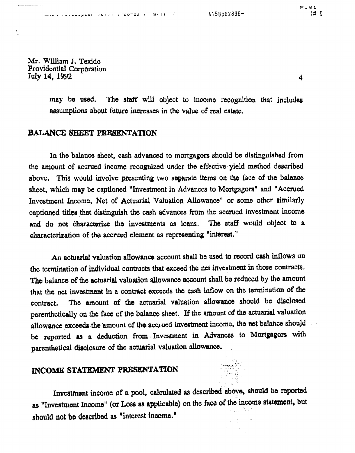$\bullet$ 

#### $4159562866 \rightarrow$  $\mathbf{L} = \mathbf{L} \cdot \mathbf{L} + \mathbf{L} \cdot \mathbf{L} + \mathbf{L} \cdot \mathbf{L} + \mathbf{L} \cdot \mathbf{L} + \mathbf{L} \cdot \mathbf{L} + \mathbf{L} \cdot \mathbf{L} + \mathbf{L} \cdot \mathbf{L} + \mathbf{L} \cdot \mathbf{L} + \mathbf{L} \cdot \mathbf{L} + \mathbf{L} \cdot \mathbf{L} + \mathbf{L} \cdot \mathbf{L} + \mathbf{L} \cdot \mathbf{L} + \mathbf{L} \cdot \mathbf{L} + \mathbf{L} \cdot \mathbf{L} + \mathbf$

Mr. William J. Texido Providential Corporation July 14, 1992

> The staff will object to income recognition that includes may be used. assumptions about future increases in the value of real estate.

# BALANCE SHEET PRESENTATION

In the balance sheet, eash advanced to mortgagors should be distinguished from the amount of accrued income recognized under the effective yield method described above. This would involve presenting two separate items on the face of the balance sheet, which may be captioned "Investment in Advances to Mortgagors" and "Accrued Investment Income, Net of Actuarial Valuation Allowance" or some other similarly captioned titles that distinguish the cash advances from the accrued investment income and do not characterize the investments as loans. The staff would object to a characterization of the accrued element as representing "interest."

An actuarial valuation allowance account shall be used to record cash inflows on the termination of individual contracts that exceed the net investment in those contracts. The balance of the actuarial valuation allowance account shall be reduced by the amount that the net investment in a contract exceeds the eash inflow on the termination of the The amount of the actuarial valuation allowance should be disclosed contract. parenthetically on the face of the balance sheet. If the amount of the actuarial valuation allowance exceeds the amount of the accrued investment income, the net balance should be reported as a deduction from Investment in Advances to Mortgagors with parenthetical disclosure of the actuarial valuation allowance.

# INCOME STATEMENT PRESENTATION



 $P.01$ 

4

# 5

# Investment income of a pool, calculated as described above, should be reported as "Investment Income" (or Loss as applicable) on the face of the income statement, but should not be described as "interest income."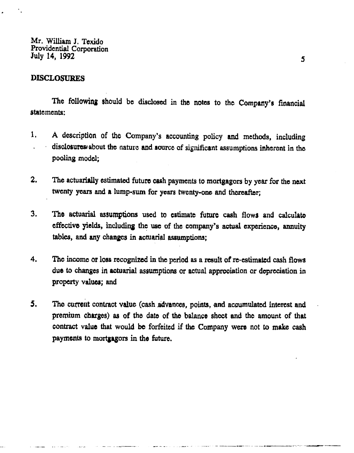Mr. William J. Texido Providential Corporation July 14, 1992

**DISCLOSURES** 

-- -

The following should be disclosed in the notes to the Company's financial statements:

5

- A description of the Company's accounting policy and methods, including  $\mathbf{I}_{\bullet}$ disclosures about the nature and source of significant assumptions inherent in the  $\bullet$  . pooling model:
- $2.$ The actuarially estimated future cash payments to mortgagors by year for the next twenty years and a lump-sum for years twenty-one and thereafter;
- The actuarial assumptions used to estimate future cash flows and calculate  $3.$ effective yields, including the use of the company's actual experience, annuity tables, and any changes in actuarial assumptions;
- The income or loss recognized in the period as a result of re-estimated cash flows 4. due to changes in actuarial assumptions or actual appreciation or depreciation in property values; and
- The current contract value (cash advances, points, and accumulated interest and 5. premium charges) as of the date of the balance sheet and the amount of that contract value that would be forfeited if the Company were not to make cash payments to mortgagors in the future.

and the company of the company of the company of the company of the company of the company of the company of the company of the company of the company of the company of the company of the company of the company of the comp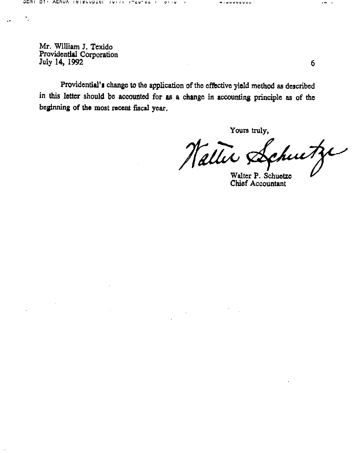Mr. William J. Texido Providential Corporation July 14, 1992

 $\mathcal{F}_{\mathcal{A}}$ 

 $\mathbf{A}$  and  $\mathbf{A}$ 

Providential's change to the application of the effective yield method as described in this letter should be accounted for as a change in accounting principle as of the beginning of the most recent fiscal year.

Yours truly, Nattit Achutze Walter P. Schuetze **Chief Accountant** 

and the state of the state of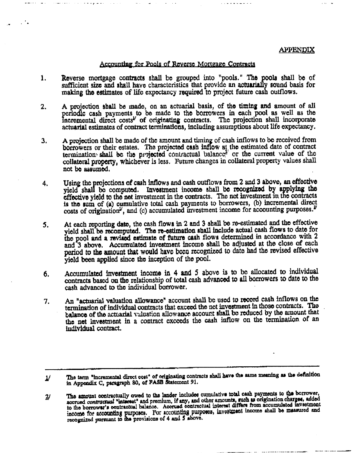$\overline{2}$ /



#### Accounting for Pools of Reverse Mortgage Contracts

- Reverse mortgage contracts shall be grouped into "pools." The pools shall be of 1. sufficient size and shall have characteristics that provide an actuarially sound basis for making the estimates of life expectancy required to project future cash outflows.
- A projection shall be made, on an actuarial basis, of the timing and amount of all  $2.$ periodic cash payments to be made to the borrowers in each pool as well as the Incremental direct costs<sup>1</sup> of originating contracts. The projection shall incorporate

actuarial estimates of contract terminations, including assumptions about life expectancy.

- A projection shall be made of the amount and timing of cash inflows to be received from  $3<sub>r</sub>$ borrowers or their estates. The projected cash inflow  $\mathbf{a}$  the estimated date of contract termination shall be the projected contractual balance<sup>2</sup> or the current value of the collateral property, whichever is less. Future changes in collateral property values shall not be assumed.
- Using the projections of cash inflows and cash outflows from 2 and 3 above, an effective 4. yield shall be computed. Investment income shall be recognized by applying the effective yield to the net investment in the contracts. The net investment in the contracts is the sum of (a) cumulative total cash payments to borrowers, (b) incremental direct costs of origination<sup>y</sup>, and (c) accumulated investment income for accounting purposes.<sup>2</sup>
- At each reporting date, the cash flows in 2 and 3 shall be re-estimated and the effective 5. yield shall be recomputed. The re-estimation shall include actual cash flows to date for the pool and a revised estimate of future cash flows determined in accordance with 2 and 3 above. Accumulated investment income shall be adjusted at the close of each

pariod to the amount that would have been recognized to date had the revised effective yield been applied since the inception of the pool.

- Accumulated investment income in 4 and 5 above is to be allocated to individual  $\delta$ . contracts based on the relationship of total cash advanced to all borrowers to date to the cash advanced to the individual borrower.
- An "actuarial valuation allowance" account shall be used to record cash inflows on the 7. termination of individual contracts that exceed the net investment in those contracts. The balance of the actuarial valuation allowance account shall be reduced by the amount that the net investment in a contract exceeds the cash inflow on the termination of an individual contract.

The term "incremental direct cost" of originating contracts shall have the same meaning as the definition in Appendix C, paragraph 80, of FASB Statement 91.

The amount contractually owed to the lander includes cumulative total cash payments to the borrower, accrued contractual "interest" and premium, if any, and other amounts, such as origination charges, added to the borrower's contractual balance. Accrued contractual interest differs from accumulated investment income for accounting purposes. For accounting purposes, investment income shall be maasured and recognized pursuant to the provisions of 4 and 5 above.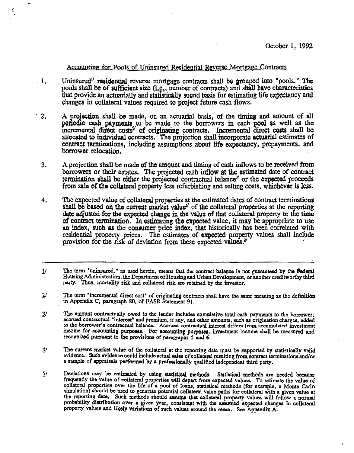#### October 1, 1992

#### <u>Accounting for Pools of Uninsured Residential Reverse Mortgage Contracts</u>

- Uninsured<sup>1</sup> residential reverse mortgage contracts shall be grouped into "pools." The  $\cdot$  1. pools shall be of sufficient size  $(i.e.,$  number of contracts) and shall have characteristics that provide an actuarially and statistically sound basis for estimating life expectancy and changes in collateral values required to project future cash flows.
- $12.$ A projection shall be made, on an actuarial basis, of the timing and amount of all periodic cash payments to be made to the borrowers in each pool as well as the incremental direct costs<sup>2</sup> of originating contracts. Incremental direct costs shall be allocated to individual contracts. The projection shall incorporate actuarial estimates of contract terminations, including assumptions about life expectancy, prepayments, and borrower relocation.
	- A projection shall be made of the amount and timing of cash inflows to be received from 3. borrowers or their estates. The projected cash inflow at the estimated date of contract termination shall be either the projected contractual balance<sup> $3/$ </sup> or the expected proceeds from sale of the collateral property less refurbishing and selling costs, whichever is less.
	- The expected value of collateral properties at the estimated dates of contract terminations  $4.$ shall be based on the current market value<sup> $\psi$ </sup> of the collateral properties at the reporting date adjusted for the expected change in the value of that collateral property to the time of contract termination. In estimating the expected value, it may be appropriate to use an index, such as the consumer price index, that historically has been correlated with residential property prices. The estimates of expected property values shall include provision for the risk of deviation from these expected values. $x^2$
	- The term "uninsured," as used herein, means that the contract balance is not guaranteed by the Federal  $\mathcal{N}$ Housing Administration, the Department of Housing and Urban Development, or another creditworthy third party. Thus, mortality risk and collateral risk are retained by the investor.
	- The term "incremental direct cost" of originating contracts shall have the same meaning as the definition  $\mathbf{z}^{\prime}$ in Appendix C, paragraph 80, of FASB Statement 91.
	- The amount contractually owed to the lender includes cumulative total cash payments to the borrower,  $\overline{3}$ / accrued contractual "interest" and premium, if any, and other amounts, such as origination charges, added to the borrower's contractual balance. Accrued contractual interest differs from accumulated investment income for accounting purposes. For accounting purposes, investment income shall be measured and recognized pursuant to the provisions of paragraphs 5 and 6.
	- The current market value of the collateral at the reporting date must be supported by statistically valid  $4/$ evidence. Such evidence could include actual sales of collateral resulting from contract terminations and/or a sample of appraisals performed by a professionally qualified independent third party.
	- 51 Deviations may be estimated by using statistical methods. Statistical methods are needed because

frequently the value of collateral properties will depart from expected values. To estimate the value of collateral properties over the life of a pool of loans, statistical methods (for example, a Monte Carlo simulation) should be used to generate potential collateral value paths for collateral with a given value at the reporting date. Such methods should assume that collateral property values will follow a normal probability distribution over a given year, consistent with the assumed expected changes in collateral property values and likely variations of such values around the mean. See Appendix A.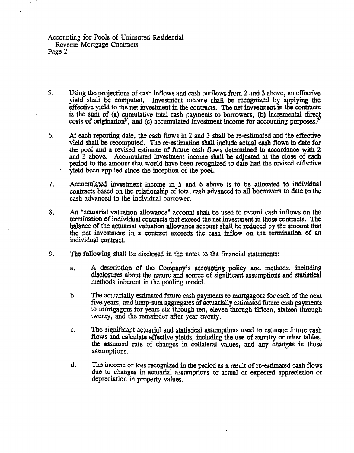#### Accounting for Pools of Uninsured Residential Reverse Mortgage Contracts Page 2

- 5. Using the projections of cash inflows and cash outflows from 2 and 3 above, an effective yield shall be computed. Investment income shall be recognized by applying the effective yield to the net investment in the contracts. The net investment in the contracts is the sum of (a) cumulative total cash payments to borrowers, (b) incremental direct costs of origination<sup>2</sup>, and (c) accumulated investment income for accounting purposes.<sup>3</sup>
- At each reporting date, the cash flows in 2 and 3 shall be re-estimated and the effective 6. yield shall be recomputed. The re-estimation shall include actual cash flows to date for the pool and a revised estimate of future cash flows determined in accordance with 2 and 3 above. Accumulated investment income shall be adjusted at the close of each period to the amount that would have been recognized to date had the revised effective yield been applied since the inception of the pool.
- $7.$ Accumulated investment income in 5 and 6 above is to be allocated to individual contracts based on the relationship of total cash advanced to all borrowers to date to the cash advanced to the individual borrower.
- 8. An "actuarial valuation allowance" account shall be used to record cash inflows on the termination of individual contracts that exceed the net investment in those contracts. The balance of the actuarial valuation allowance account shall be reduced by the amount that the net investment in a contract exceeds the cash inflow on the termination of an individual contract.
- 9. The following shall be disclosed in the notes to the financial statements:
	- A description of the Company's accounting policy and methods, including  $a<sub>1</sub>$ disclosures about the nature and source of significant assumptions and statistical methods inherent in the pooling model.
	- The actuarially estimated future cash payments to mortgagors for each of the next  $\mathfrak{b}$ . five years, and lump-sum aggregates of actuarially estimated future cash payments to mortgagors for years six through ten, eleven through fifteen, sixteen through twenty, and the remainder after year twenty.
	- The significant actuarial and statistical assumptions used to estimate future cash  $\mathbf{C}_{\bullet}$ flows and calculate effective yields, including the use of annuity or other tables, the assumed rate of changes in collateral values, and any changes in those assumptions.
	- d. The income or loss recognized in the period as a result of re-estimated cash flows due to changes in actuarial assumptions or actual or expected appreciation or

#### depreciation in property values. **A** 4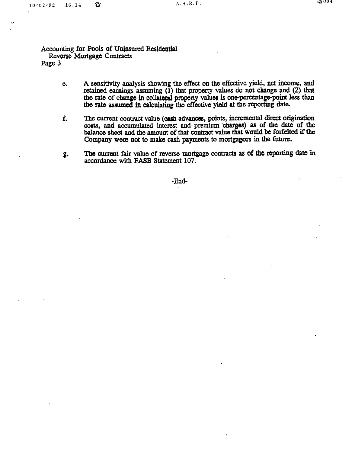$\blacktriangledown^+$ 

Accounting for Pools of Uninsured Residential Reverse Mortgage Contracts Page 3

- A sensitivity analysis showing the effect on the effective yield, net income, and  $e.$ retained earnings assuming  $(\bar{1})$  that property values do not change and  $(2)$  that the rate of change in collateral property values is one-percentage-point less than the rate assumed in calculating the effective yield at the reporting date.
- The current contract value (cash advances, points, incremental direct origination f. costs, and accumulated interest and premium charges) as of the date of the

balance sheet and the amount of that contract value that would be forfeited if the Company were not to make cash payments to mortgagors in the future.

The current fair value of reverse mortgage contracts as of the reporting date in  $g_{\cdot}$ accordance with FASB Statement 107.



and the state of the state

the contract of the conthe contract of the contract of the contract of the contract of the contract of the contract of

and the state of the state of the state of the state of the state of the state of the state of the state of th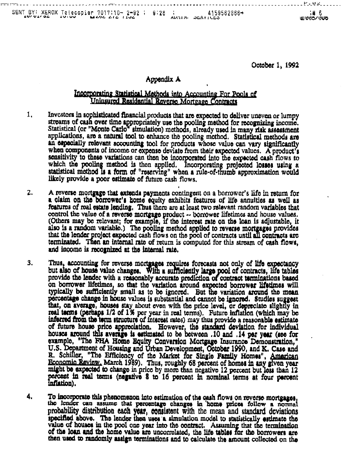| エロノ ひょく ロム | $SENT$ BY: XEROX Telecopier 7017;10- 2-92 ; 9:28 ; 4159562866-<br>$\sim$ 64 494 414 1104<br>$\overline{10.00}$ |  | AVI'LLIN, | <b>DERVICES</b> | LEI VUDZUUD. |
|------------|----------------------------------------------------------------------------------------------------------------|--|-----------|-----------------|--------------|

### October 1, 1992

# Appendix A

## Incorporating Statistical Methods into Accounting For Pools of Uninsured Residential Reverse Mortgage Contracts

Investors in sophisticated financial products that are expected to deliver uneven or lumpy 1, streams of cash over time appropriately use the pooling method for recognizing income.

Statistical (or "Monte Carlo" simulation) methods, already used in many risk assessment applications, are a natural tool to enhance the pooling method. Statistical methods are an especially relevant accounting tool for products whose value can vary significantly when components of income or expense deviate from their expected values. A product's sonsitivity to these variations can then be incorporated into the expected cash flows to which the pooling method is then applied. Incorporating projected losses using a statistical method Is a form of "reserving" when a rule-of-thumb approximation would likely provide a poor estimate of future cash flows.

 $z.$ A reverse mortgage that extends payments contingent on a borrower's life in return for a claim on the borrower's home equity exhibits features of life annuities as well as features of real estate lending. Thus there are at least two relevant random variables that control the value of a reverse mortgage product -- borrower lifetimes and house values. (Others may be relevant; for example, if the interest rate on the loan is adjustable, it also is a random variable.) The pooling method applied to reverse mortgages provides that the lender project expected cash flows on the pool of contracts until all contracts are terminated. Then an internal rate of return is computed for this stream of cash flows, and income is recognized at the internal rate.

 $= -1$ 

4.

3. Thus, accounting for reverse mortgages requires forecasts not only of life expectancy but also of house value changes. With a sufficiently large pool of contracts, life tables provide the lender with a reasonably accurate prediction of contract terminations based on borrower lifetimes, so that the variation around expected borrower lifetimes will typically be sufficiently small as to be ignored. But the variation around the mean percentage change in house values is substantial and cannot be ignored. Studies suggest that, on average, houses stay about even with the price level, or depreciate slightly in real terms (perhaps 1/2 of 1% per year in real terms). Future inflation (which may be inferred from the term structure of interest rates) may thus provide a reasonable estimate of future house price appreciation. However, the standard deviation for individual houses around this average is estimated to be between .10 and .14 per year (see for example, "The FHA Home Equity Conversion Mortgage Insurance Demonstration," U.S. Department of Housing and Urban Development, October 1990, and K. Case and R. Schiller, "The Efficiency of the Market for Single Family Homes", American Economic Review. March 1989). Thus, roughly 68 percent of homes in any given year might be expected to change in price by more than negative 12 percent but loss than 12

### percent in real terms (negative 8 to 16 percent in nominal terms at four percent inflation).

To incorporate this phenomenon into estimation of the cash flows on reverse mortgages, the lender can assume that percentage changes in home prices follow a normal probability distribution each year, consistent with the mean and standard deviations specified above. The lender then uses a simulation model to statistically estimate the value of houses in the pool one year into the contract. Assuming that the termination of the loan and the home value are uncorrelated, the life tables for the borrowers are then used to randomly assign terminations and to calculate the amount collected on the